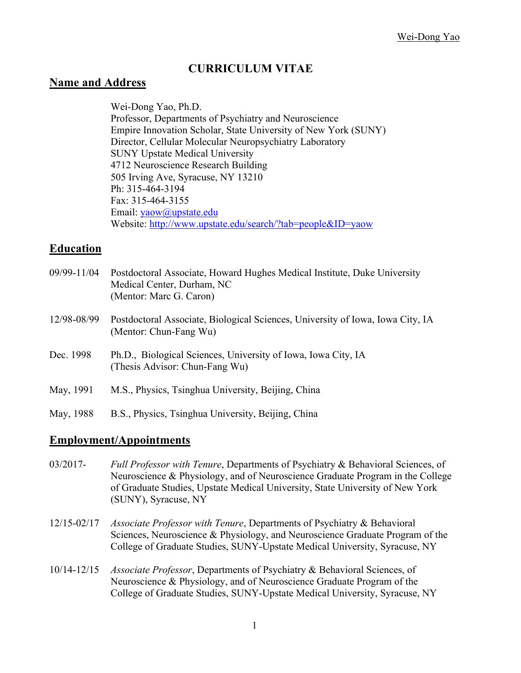# **CURRICULUM VITAE**

#### **Name and Address**

Wei-Dong Yao, Ph.D. Professor, Departments of Psychiatry and Neuroscience Empire Innovation Scholar, State University of New York (SUNY) Director, Cellular Molecular Neuropsychiatry Laboratory SUNY Upstate Medical University 4712 Neuroscience Research Building 505 Irving Ave, Syracuse, NY 13210 Ph: 315-464-3194 Fax: 315-464-3155 Email: yaow@upstate.edu Website: http://www.upstate.edu/search/?tab=people&ID=yaow

#### **Education**

| 09/99-11/04 | Postdoctoral Associate, Howard Hughes Medical Institute, Duke University<br>Medical Center, Durham, NC<br>(Mentor: Marc G. Caron) |
|-------------|-----------------------------------------------------------------------------------------------------------------------------------|
| 12/98-08/99 | Postdoctoral Associate, Biological Sciences, University of Iowa, Iowa City, IA<br>(Mentor: Chun-Fang Wu)                          |
| Dec. 1998   | Ph.D., Biological Sciences, University of Iowa, Iowa City, IA<br>(Thesis Advisor: Chun-Fang Wu)                                   |
| May, 1991   | M.S., Physics, Tsinghua University, Beijing, China                                                                                |
| May, 1988   | B.S., Physics, Tsinghua University, Beijing, China                                                                                |

# **Employment/Appointments**

- 03/2017- *Full Professor with Tenure*, Departments of Psychiatry & Behavioral Sciences, of Neuroscience & Physiology, and of Neuroscience Graduate Program in the College of Graduate Studies, Upstate Medical University, State University of New York (SUNY), Syracuse, NY
- 12/15-02/17 *Associate Professor with Tenure*, Departments of Psychiatry & Behavioral Sciences, Neuroscience & Physiology, and Neuroscience Graduate Program of the College of Graduate Studies, SUNY-Upstate Medical University, Syracuse, NY
- 10/14-12/15 *Associate Professor*, Departments of Psychiatry & Behavioral Sciences, of Neuroscience & Physiology, and of Neuroscience Graduate Program of the College of Graduate Studies, SUNY-Upstate Medical University, Syracuse, NY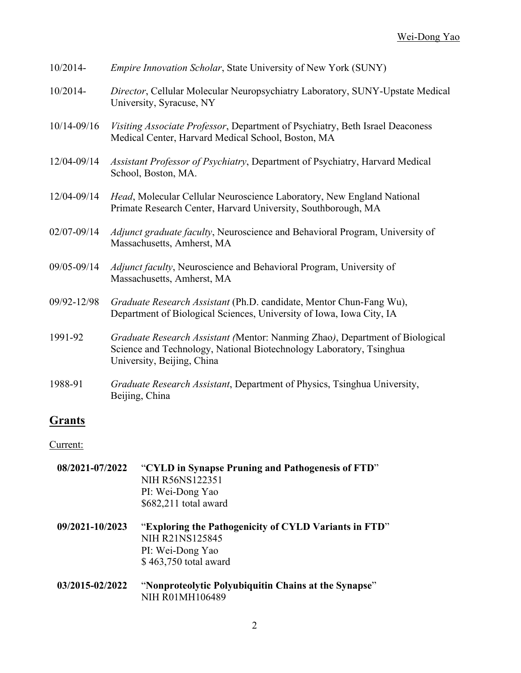| 10/2014-        | <i>Empire Innovation Scholar, State University of New York (SUNY)</i>                                                                                                             |
|-----------------|-----------------------------------------------------------------------------------------------------------------------------------------------------------------------------------|
| 10/2014-        | Director, Cellular Molecular Neuropsychiatry Laboratory, SUNY-Upstate Medical<br>University, Syracuse, NY                                                                         |
| 10/14-09/16     | Visiting Associate Professor, Department of Psychiatry, Beth Israel Deaconess<br>Medical Center, Harvard Medical School, Boston, MA                                               |
| 12/04-09/14     | Assistant Professor of Psychiatry, Department of Psychiatry, Harvard Medical<br>School, Boston, MA.                                                                               |
| 12/04-09/14     | Head, Molecular Cellular Neuroscience Laboratory, New England National<br>Primate Research Center, Harvard University, Southborough, MA                                           |
| $02/07 - 09/14$ | <i>Adjunct graduate faculty</i> , Neuroscience and Behavioral Program, University of<br>Massachusetts, Amherst, MA                                                                |
| 09/05-09/14     | Adjunct faculty, Neuroscience and Behavioral Program, University of<br>Massachusetts, Amherst, MA                                                                                 |
| 09/92-12/98     | Graduate Research Assistant (Ph.D. candidate, Mentor Chun-Fang Wu),<br>Department of Biological Sciences, University of Iowa, Iowa City, IA                                       |
| 1991-92         | Graduate Research Assistant (Mentor: Nanming Zhao), Department of Biological<br>Science and Technology, National Biotechnology Laboratory, Tsinghua<br>University, Beijing, China |
| 1988-91         | Graduate Research Assistant, Department of Physics, Tsinghua University,<br>Beijing, China                                                                                        |

# **Grants**

Current:

| 08/2021-07/2022 | "CYLD in Synapse Pruning and Pathogenesis of FTD"<br>NIH R56NS122351<br>PI: Wei-Dong Yao<br>\$682,211 total award     |
|-----------------|-----------------------------------------------------------------------------------------------------------------------|
| 09/2021-10/2023 | "Exploring the Pathogenicity of CYLD Variants in FTD"<br>NIH R21NS125845<br>PI: Wei-Dong Yao<br>\$463,750 total award |
| 03/2015-02/2022 | "Nonproteolytic Polyubiquitin Chains at the Synapse"<br>NIH R01MH106489                                               |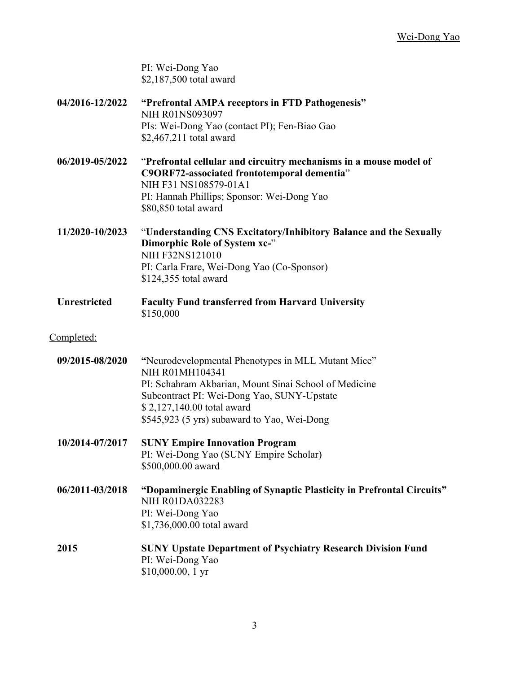PI: Wei-Dong Yao \$2,187,500 total award

**04/2016-12/2022 "Prefrontal AMPA receptors in FTD Pathogenesis"** NIH R01NS093097 PIs: Wei-Dong Yao (contact PI); Fen-Biao Gao \$2,467,211 total award **06/2019-05/2022** "**Prefrontal cellular and circuitry mechanisms in a mouse model of C9ORF72-associated frontotemporal dementia**" NIH F31 NS108579-01A1 PI: Hannah Phillips; Sponsor: Wei-Dong Yao \$80,850 total award **11/2020-10/2023** "**Understanding CNS Excitatory/Inhibitory Balance and the Sexually Dimorphic Role of System xc-**" NIH F32NS121010 PI: Carla Frare, Wei-Dong Yao (Co-Sponsor) \$124,355 total award **Unrestricted Faculty Fund transferred from Harvard University** \$150,000 Completed: **09/2015-08/2020 "**Neurodevelopmental Phenotypes in MLL Mutant Mice" NIH R01MH104341 PI: Schahram Akbarian, Mount Sinai School of Medicine Subcontract PI: Wei-Dong Yao, SUNY-Upstate \$ 2,127,140.00 total award \$545,923 (5 yrs) subaward to Yao, Wei-Dong **10/2014-07/2017 SUNY Empire Innovation Program** PI: Wei-Dong Yao (SUNY Empire Scholar) \$500,000.00 award **06/2011-03/2018 "Dopaminergic Enabling of Synaptic Plasticity in Prefrontal Circuits"** NIH R01DA032283 PI: Wei-Dong Yao \$1,736,000.00 total award **2015 SUNY Upstate Department of Psychiatry Research Division Fund** PI: Wei-Dong Yao \$10,000.00, 1 yr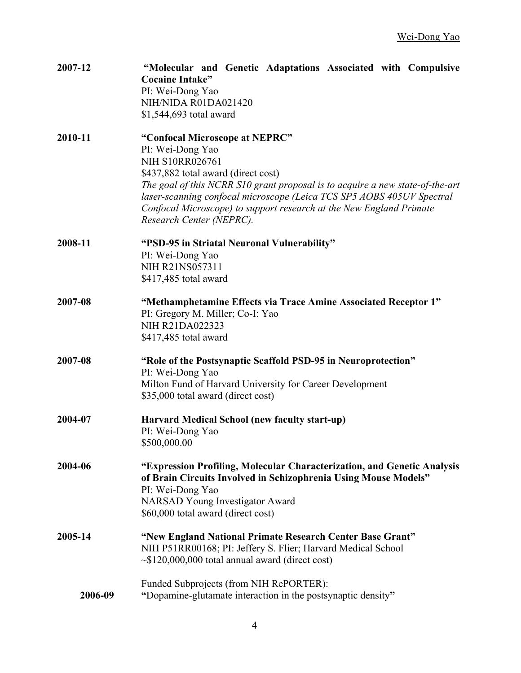| 2007-12 | "Molecular and Genetic Adaptations Associated with Compulsive<br><b>Cocaine Intake"</b><br>PI: Wei-Dong Yao<br>NIH/NIDA R01DA021420<br>\$1,544,693 total award                                                                                                                                                                                                                   |
|---------|----------------------------------------------------------------------------------------------------------------------------------------------------------------------------------------------------------------------------------------------------------------------------------------------------------------------------------------------------------------------------------|
| 2010-11 | "Confocal Microscope at NEPRC"<br>PI: Wei-Dong Yao<br><b>NIH S10RR026761</b><br>\$437,882 total award (direct cost)<br>The goal of this NCRR S10 grant proposal is to acquire a new state-of-the-art<br>laser-scanning confocal microscope (Leica TCS SP5 AOBS 405UV Spectral<br>Confocal Microscope) to support research at the New England Primate<br>Research Center (NEPRC). |
| 2008-11 | "PSD-95 in Striatal Neuronal Vulnerability"<br>PI: Wei-Dong Yao<br>NIH R21NS057311<br>\$417,485 total award                                                                                                                                                                                                                                                                      |
| 2007-08 | "Methamphetamine Effects via Trace Amine Associated Receptor 1"<br>PI: Gregory M. Miller; Co-I: Yao<br>NIH R21DA022323<br>\$417,485 total award                                                                                                                                                                                                                                  |
| 2007-08 | "Role of the Postsynaptic Scaffold PSD-95 in Neuroprotection"<br>PI: Wei-Dong Yao<br>Milton Fund of Harvard University for Career Development<br>\$35,000 total award (direct cost)                                                                                                                                                                                              |
| 2004-07 | Harvard Medical School (new faculty start-up)<br>PI: Wei-Dong Yao<br>\$500,000.00                                                                                                                                                                                                                                                                                                |
| 2004-06 | "Expression Profiling, Molecular Characterization, and Genetic Analysis<br>of Brain Circuits Involved in Schizophrenia Using Mouse Models"<br>PI: Wei-Dong Yao<br><b>NARSAD Young Investigator Award</b><br>\$60,000 total award (direct cost)                                                                                                                                   |
| 2005-14 | "New England National Primate Research Center Base Grant"<br>NIH P51RR00168; PI: Jeffery S. Flier; Harvard Medical School<br>$\sim$ \$120,000,000 total annual award (direct cost)                                                                                                                                                                                               |
| 2006-09 | <b>Funded Subprojects (from NIH RePORTER):</b><br>"Dopamine-glutamate interaction in the postsynaptic density"                                                                                                                                                                                                                                                                   |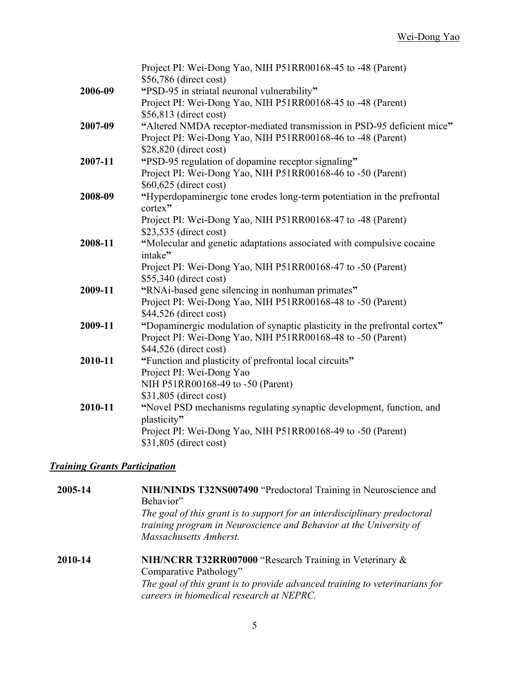|         | Project PI: Wei-Dong Yao, NIH P51RR00168-45 to -48 (Parent)               |
|---------|---------------------------------------------------------------------------|
|         | \$56,786 (direct cost)                                                    |
| 2006-09 | "PSD-95 in striatal neuronal vulnerability"                               |
|         | Project PI: Wei-Dong Yao, NIH P51RR00168-45 to -48 (Parent)               |
|         | \$56,813 (direct cost)                                                    |
| 2007-09 | "Altered NMDA receptor-mediated transmission in PSD-95 deficient mice"    |
|         | Project PI: Wei-Dong Yao, NIH P51RR00168-46 to -48 (Parent)               |
|         | \$28,820 (direct cost)                                                    |
| 2007-11 | "PSD-95 regulation of dopamine receptor signaling"                        |
|         | Project PI: Wei-Dong Yao, NIH P51RR00168-46 to -50 (Parent)               |
|         | \$60,625 (direct cost)                                                    |
| 2008-09 | "Hyperdopaminergic tone erodes long-term potentiation in the prefrontal   |
|         | cortex"                                                                   |
|         | Project PI: Wei-Dong Yao, NIH P51RR00168-47 to -48 (Parent)               |
|         | \$23,535 (direct cost)                                                    |
| 2008-11 | "Molecular and genetic adaptations associated with compulsive cocaine     |
|         | intake"                                                                   |
|         | Project PI: Wei-Dong Yao, NIH P51RR00168-47 to -50 (Parent)               |
|         | \$55,340 (direct cost)                                                    |
| 2009-11 | "RNAi-based gene silencing in nonhuman primates"                          |
|         | Project PI: Wei-Dong Yao, NIH P51RR00168-48 to -50 (Parent)               |
|         | \$44,526 (direct cost)                                                    |
| 2009-11 | "Dopaminergic modulation of synaptic plasticity in the prefrontal cortex" |
|         | Project PI: Wei-Dong Yao, NIH P51RR00168-48 to -50 (Parent)               |
|         | \$44,526 (direct cost)                                                    |
| 2010-11 | "Function and plasticity of prefrontal local circuits"                    |
|         | Project PI: Wei-Dong Yao                                                  |
|         | NIH P51RR00168-49 to -50 (Parent)                                         |
|         | \$31,805 (direct cost)                                                    |
| 2010-11 | "Novel PSD mechanisms regulating synaptic development, function, and      |
|         | plasticity"                                                               |
|         | Project PI: Wei-Dong Yao, NIH P51RR00168-49 to -50 (Parent)               |
|         | \$31,805 (direct cost)                                                    |

#### *Training Grants Participation*

**2005-14 NIH/NINDS T32NS007490** "Predoctoral Training in Neuroscience and Behavior" *The goal of this grant is to support for an interdisciplinary predoctoral training program in Neuroscience and Behavior at the University of Massachusetts Amherst.* **2010-14 NIH/NCRR T32RR007000** "Research Training in Veterinary & Comparative Pathology"

> *The goal of this grant is to provide advanced training to veterinarians for careers in biomedical research at NEPRC.*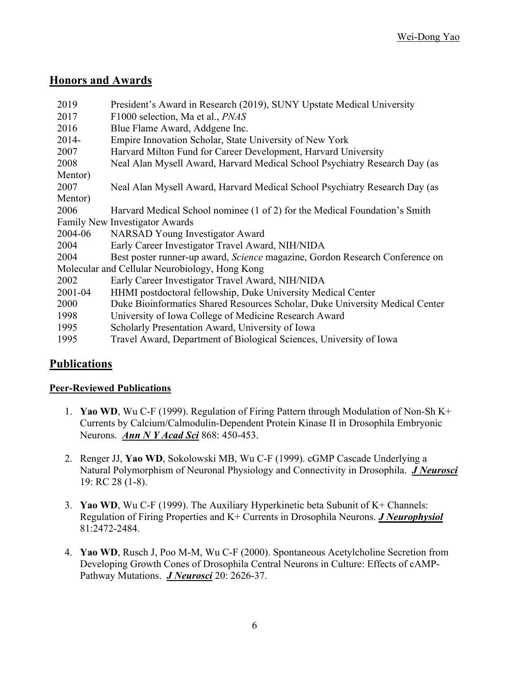# **Honors and Awards**

| 2019                                           | President's Award in Research (2019), SUNY Upstate Medical University        |  |
|------------------------------------------------|------------------------------------------------------------------------------|--|
| 2017                                           | F1000 selection, Ma et al., <i>PNAS</i>                                      |  |
| 2016                                           | Blue Flame Award, Addgene Inc.                                               |  |
| $2014 -$                                       | Empire Innovation Scholar, State University of New York                      |  |
| 2007                                           | Harvard Milton Fund for Career Development, Harvard University               |  |
| 2008                                           | Neal Alan Mysell Award, Harvard Medical School Psychiatry Research Day (as   |  |
| Mentor)                                        |                                                                              |  |
| 2007                                           | Neal Alan Mysell Award, Harvard Medical School Psychiatry Research Day (as   |  |
| Mentor)                                        |                                                                              |  |
| 2006                                           | Harvard Medical School nominee (1 of 2) for the Medical Foundation's Smith   |  |
|                                                | Family New Investigator Awards                                               |  |
| 2004-06                                        | <b>NARSAD</b> Young Investigator Award                                       |  |
| 2004                                           | Early Career Investigator Travel Award, NIH/NIDA                             |  |
| 2004                                           | Best poster runner-up award, Science magazine, Gordon Research Conference on |  |
| Molecular and Cellular Neurobiology, Hong Kong |                                                                              |  |
| 2002                                           | Early Career Investigator Travel Award, NIH/NIDA                             |  |
| 2001-04                                        | HHMI postdoctoral fellowship, Duke University Medical Center                 |  |
| 2000                                           | Duke Bioinformatics Shared Resources Scholar, Duke University Medical Center |  |
| 1998                                           | University of Iowa College of Medicine Research Award                        |  |
| 1995                                           | Scholarly Presentation Award, University of Iowa                             |  |
| 1995                                           | Travel Award, Department of Biological Sciences, University of Iowa          |  |
|                                                |                                                                              |  |

# **Publications**

#### **Peer-Reviewed Publications**

- 1. **Yao WD**, Wu C-F (1999). Regulation of Firing Pattern through Modulation of Non-Sh K+ Currents by Calcium/Calmodulin-Dependent Protein Kinase II in Drosophila Embryonic Neurons. *Ann N Y Acad Sci* 868: 450-453.
- 2. Renger JJ, **Yao WD**, Sokolowski MB, Wu C-F (1999). cGMP Cascade Underlying a Natural Polymorphism of Neuronal Physiology and Connectivity in Drosophila. *J Neurosci* 19: RC 28 (1-8).
- 3. **Yao WD**, Wu C-F (1999). The Auxiliary Hyperkinetic beta Subunit of K+ Channels: Regulation of Firing Properties and K+ Currents in Drosophila Neurons. *J Neurophysiol* 81:2472-2484.
- 4. **Yao WD**, Rusch J, Poo M-M, Wu C-F (2000). Spontaneous Acetylcholine Secretion from Developing Growth Cones of Drosophila Central Neurons in Culture: Effects of cAMP-Pathway Mutations. *J Neurosci* 20: 2626-37.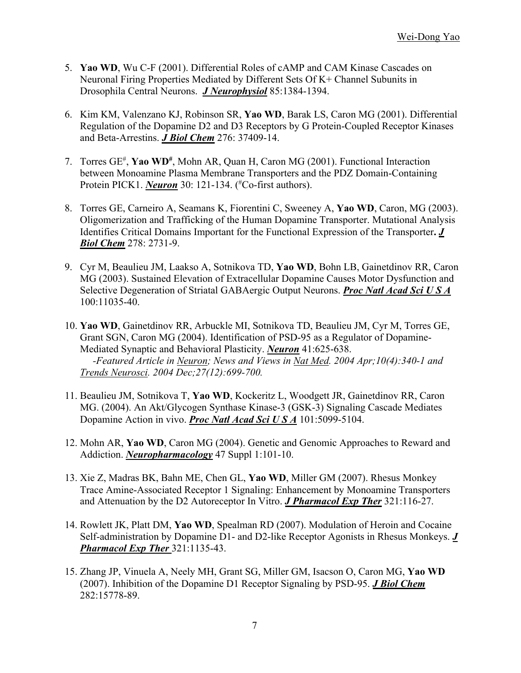- 5. **Yao WD**, Wu C-F (2001). Differential Roles of cAMP and CAM Kinase Cascades on Neuronal Firing Properties Mediated by Different Sets Of K+ Channel Subunits in Drosophila Central Neurons. *J Neurophysiol* 85:1384-1394.
- 6. Kim KM, Valenzano KJ, Robinson SR, **Yao WD**, Barak LS, Caron MG (2001). Differential Regulation of the Dopamine D2 and D3 Receptors by G Protein-Coupled Receptor Kinases and Beta-Arrestins. *J Biol Chem* 276: 37409-14.
- 7. Torres GE<sup>#</sup>, Yao WD<sup>#</sup>, Mohn AR, Quan H, Caron MG (2001). Functional Interaction between Monoamine Plasma Membrane Transporters and the PDZ Domain-Containing Protein PICK1. *Neuron* 30: 121-134. (<sup>#</sup>Co-first authors).
- 8. Torres GE, Carneiro A, Seamans K, Fiorentini C, Sweeney A, **Yao WD**, Caron, MG (2003). Oligomerization and Trafficking of the Human Dopamine Transporter. Mutational Analysis Identifies Critical Domains Important for the Functional Expression of the Transporter**.** *J Biol Chem* 278: 2731-9.
- 9. Cyr M, Beaulieu JM, Laakso A, Sotnikova TD, **Yao WD**, Bohn LB, Gainetdinov RR, Caron MG (2003). Sustained Elevation of Extracellular Dopamine Causes Motor Dysfunction and Selective Degeneration of Striatal GABAergic Output Neurons. *Proc Natl Acad Sci U S A* 100:11035-40.
- 10. **Yao WD**, Gainetdinov RR, Arbuckle MI, Sotnikova TD, Beaulieu JM, Cyr M, Torres GE, Grant SGN, Caron MG (2004). Identification of PSD-95 as a Regulator of Dopamine-Mediated Synaptic and Behavioral Plasticity. *Neuron* 41:625-638.  *-Featured Article in Neuron; News and Views in Nat Med. 2004 Apr;10(4):340-1 and Trends Neurosci. 2004 Dec;27(12):699-700.*
- 11. Beaulieu JM, Sotnikova T, **Yao WD**, Kockeritz L, Woodgett JR, Gainetdinov RR, Caron MG. (2004). An Akt/Glycogen Synthase Kinase-3 (GSK-3) Signaling Cascade Mediates Dopamine Action in vivo. *Proc Natl Acad Sci U S A* 101:5099-5104.
- 12. Mohn AR, **Yao WD**, Caron MG (2004). Genetic and Genomic Approaches to Reward and Addiction. *Neuropharmacology* 47 Suppl 1:101-10.
- 13. Xie Z, Madras BK, Bahn ME, Chen GL, **Yao WD**, Miller GM (2007). Rhesus Monkey Trace Amine-Associated Receptor 1 Signaling: Enhancement by Monoamine Transporters and Attenuation by the D2 Autoreceptor In Vitro. *J Pharmacol Exp Ther* 321:116-27.
- 14. Rowlett JK, Platt DM, **Yao WD**, Spealman RD (2007). Modulation of Heroin and Cocaine Self-administration by Dopamine D1- and D2-like Receptor Agonists in Rhesus Monkeys. *J Pharmacol Exp Ther* 321:1135-43.
- 15. Zhang JP, Vinuela A, Neely MH, Grant SG, Miller GM, Isacson O, Caron MG, **Yao WD** (2007). Inhibition of the Dopamine D1 Receptor Signaling by PSD-95. *J Biol Chem* 282:15778-89.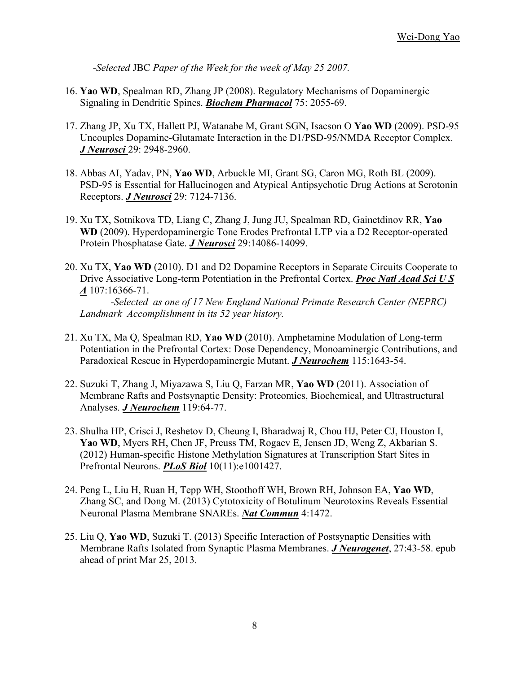*-Selected* JBC *Paper of the Week for the week of May 25 2007.*

- 16. **Yao WD**, Spealman RD, Zhang JP (2008). Regulatory Mechanisms of Dopaminergic Signaling in Dendritic Spines. *Biochem Pharmacol* 75: 2055-69.
- 17. Zhang JP, Xu TX, Hallett PJ, Watanabe M, Grant SGN, Isacson O **Yao WD** (2009). PSD-95 Uncouples Dopamine-Glutamate Interaction in the D1/PSD-95/NMDA Receptor Complex. *J Neurosci* 29: 2948-2960.
- 18. Abbas AI, Yadav, PN, **Yao WD**, Arbuckle MI, Grant SG, Caron MG, Roth BL (2009). PSD-95 is Essential for Hallucinogen and Atypical Antipsychotic Drug Actions at Serotonin Receptors. *J Neurosci* 29: 7124-7136.
- 19. Xu TX, Sotnikova TD, Liang C, Zhang J, Jung JU, Spealman RD, Gainetdinov RR, **Yao WD** (2009). Hyperdopaminergic Tone Erodes Prefrontal LTP via a D2 Receptor-operated Protein Phosphatase Gate. *J Neurosci* 29:14086-14099.
- 20. Xu TX, **Yao WD** (2010). D1 and D2 Dopamine Receptors in Separate Circuits Cooperate to Drive Associative Long-term Potentiation in the Prefrontal Cortex. *Proc Natl Acad Sci U S A* 107:16366-71. *-Selected as one of 17 New England National Primate Research Center (NEPRC)*

*Landmark Accomplishment in its 52 year history.*

- 21. Xu TX, Ma Q, Spealman RD, **Yao WD** (2010). Amphetamine Modulation of Long-term Potentiation in the Prefrontal Cortex: Dose Dependency, Monoaminergic Contributions, and Paradoxical Rescue in Hyperdopaminergic Mutant. *J Neurochem* 115:1643-54.
- 22. Suzuki T, Zhang J, Miyazawa S, Liu Q, Farzan MR, **Yao WD** (2011). Association of Membrane Rafts and Postsynaptic Density: Proteomics, Biochemical, and Ultrastructural Analyses. *J Neurochem* 119:64-77.
- 23. Shulha HP, Crisci J, Reshetov D, Cheung I, Bharadwaj R, Chou HJ, Peter CJ, Houston I, **Yao WD**, Myers RH, Chen JF, Preuss TM, Rogaev E, Jensen JD, Weng Z, Akbarian S. (2012) Human-specific Histone Methylation Signatures at Transcription Start Sites in Prefrontal Neurons. *PLoS Biol* 10(11):e1001427.
- 24. Peng L, Liu H, Ruan H, Tepp WH, Stoothoff WH, Brown RH, Johnson EA, **Yao WD**, Zhang SC, and Dong M. (2013) Cytotoxicity of Botulinum Neurotoxins Reveals Essential Neuronal Plasma Membrane SNAREs. *Nat Commun* 4:1472.
- 25. Liu Q, **Yao WD**, Suzuki T. (2013) Specific Interaction of Postsynaptic Densities with Membrane Rafts Isolated from Synaptic Plasma Membranes. *J Neurogenet*, 27:43-58. epub ahead of print Mar 25, 2013.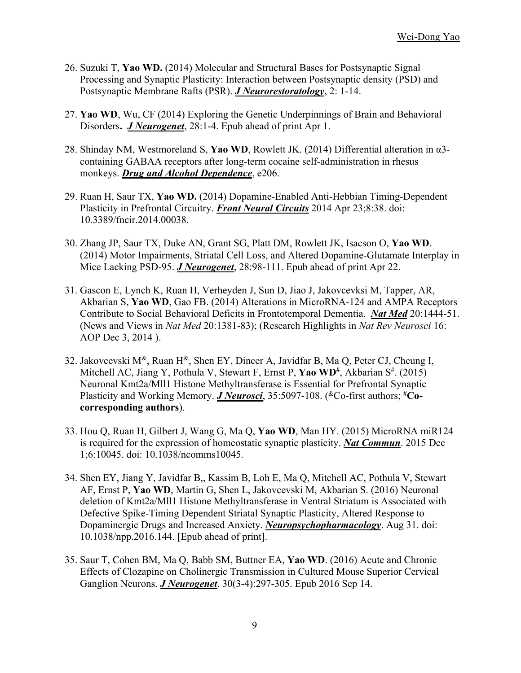- 26. Suzuki T, **Yao WD.** (2014) Molecular and Structural Bases for Postsynaptic Signal Processing and Synaptic Plasticity: Interaction between Postsynaptic density (PSD) and Postsynaptic Membrane Rafts (PSR). *J Neurorestoratology*, 2: 1-14.
- 27. **Yao WD**, Wu, CF (2014) Exploring the Genetic Underpinnings of Brain and Behavioral Disorders**.** *J Neurogenet*, 28:1-4. Epub ahead of print Apr 1.
- 28. Shinday NM, Westmoreland S, **Yao WD**, Rowlett JK. (2014) Differential alteration in α3 containing GABAA receptors after long-term cocaine self-administration in rhesus monkeys. *Drug and Alcohol Dependence*, e206.
- 29. Ruan H, Saur TX, **Yao WD.** (2014) Dopamine-Enabled Anti-Hebbian Timing-Dependent Plasticity in Prefrontal Circuitry. *Front Neural Circuits* 2014 Apr 23;8:38. doi: 10.3389/fncir.2014.00038.
- 30. Zhang JP, Saur TX, Duke AN, Grant SG, Platt DM, Rowlett JK, Isacson O, **Yao WD**. (2014) Motor Impairments, Striatal Cell Loss, and Altered Dopamine-Glutamate Interplay in Mice Lacking PSD-95. *J Neurogenet*, 28:98-111. Epub ahead of print Apr 22.
- 31. Gascon E, Lynch K, Ruan H, Verheyden J, Sun D, Jiao J, Jakovcevksi M, Tapper, AR, Akbarian S, **Yao WD**, Gao FB. (2014) Alterations in MicroRNA-124 and AMPA Receptors Contribute to Social Behavioral Deficits in Frontotemporal Dementia. *Nat Med* 20:1444-51. (News and Views in *Nat Med* 20:1381-83); (Research Highlights in *Nat Rev Neurosci* 16: AOP Dec 3, 2014 ).
- 32. Jakovcevski  $M^{\&}$ , Ruan  $H^{\&}$ , Shen EY, Dincer A, Javidfar B, Ma Q, Peter CJ, Cheung I, Mitchell AC, Jiang Y, Pothula V, Stewart F, Ernst P, Yao WD<sup>#</sup>, Akbarian S<sup>#</sup>. (2015) Neuronal Kmt2a/Mll1 Histone Methyltransferase is Essential for Prefrontal Synaptic Plasticity and Working Memory. *J Neurosci*, 35:5097-108. (<sup>&</sup>Co-first authors; <sup>#</sup>Co**corresponding authors**).
- 33. Hou Q, Ruan H, Gilbert J, Wang G, Ma Q, **Yao WD**, Man HY. (2015) MicroRNA miR124 is required for the expression of homeostatic synaptic plasticity. *Nat Commun*. 2015 Dec 1;6:10045. doi: 10.1038/ncomms10045.
- 34. Shen EY, Jiang Y, Javidfar B,, Kassim B, Loh E, Ma Q, Mitchell AC, Pothula V, Stewart AF, Ernst P, **Yao WD**, Martin G, Shen L, Jakovcevski M, Akbarian S. (2016) Neuronal deletion of Kmt2a/Mll1 Histone Methyltransferase in Ventral Striatum is Associated with Defective Spike-Timing Dependent Striatal Synaptic Plasticity, Altered Response to Dopaminergic Drugs and Increased Anxiety. *Neuropsychopharmacology*. Aug 31. doi: 10.1038/npp.2016.144. [Epub ahead of print].
- 35. Saur T, Cohen BM, Ma Q, Babb SM, Buttner EA, **Yao WD**. (2016) Acute and Chronic Effects of Clozapine on Cholinergic Transmission in Cultured Mouse Superior Cervical Ganglion Neurons. *J Neurogenet*. 30(3-4):297-305. Epub 2016 Sep 14.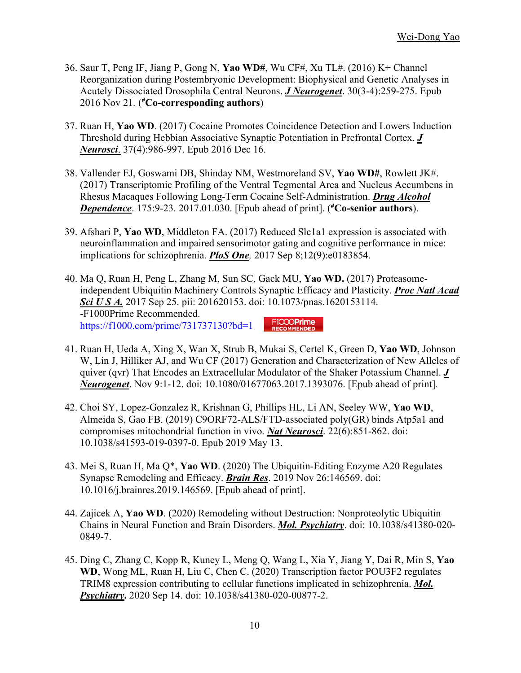- 36. Saur T, Peng IF, Jiang P, Gong N, **Yao WD#**, Wu CF#, Xu TL#. (2016) K+ Channel Reorganization during Postembryonic Development: Biophysical and Genetic Analyses in Acutely Dissociated Drosophila Central Neurons. *J Neurogenet*. 30(3-4):259-275. Epub 2016 Nov 21*.* ( **# Co-corresponding authors**)
- 37. Ruan H, **Yao WD**. (2017) Cocaine Promotes Coincidence Detection and Lowers Induction Threshold during Hebbian Associative Synaptic Potentiation in Prefrontal Cortex. *J Neurosci*. 37(4):986-997. Epub 2016 Dec 16.
- 38. Vallender EJ, Goswami DB, Shinday NM, Westmoreland SV, **Yao WD#**, Rowlett JK#. (2017) Transcriptomic Profiling of the Ventral Tegmental Area and Nucleus Accumbens in Rhesus Macaques Following Long-Term Cocaine Self-Administration. *Drug Alcohol Dependence*. 175:9-23. 2017.01.030. [Epub ahead of print]. ( **# Co-senior authors**).
- 39. Afshari P, **Yao WD**, Middleton FA. (2017) Reduced Slc1a1 expression is associated with neuroinflammation and impaired sensorimotor gating and cognitive performance in mice: implications for schizophrenia. *PloS One,* 2017 Sep 8;12(9):e0183854.
- 40. Ma Q, Ruan H, Peng L, Zhang M, Sun SC, Gack MU, **Yao WD.** (2017) Proteasomeindependent Ubiquitin Machinery Controls Synaptic Efficacy and Plasticity. *Proc Natl Acad Sci U S A.* 2017 Sep 25. pii: 201620153. doi: 10.1073/pnas.1620153114. -F1000Prime Recommended. FICCOPrime<br>RECOMMENDED https://f1000.com/prime/731737130?bd=1
- 41. Ruan H, Ueda A, Xing X, Wan X, Strub B, Mukai S, Certel K, Green D, **Yao WD**, Johnson W, Lin J, Hilliker AJ, and Wu CF (2017) Generation and Characterization of New Alleles of quiver (qvr) That Encodes an Extracellular Modulator of the Shaker Potassium Channel. *J Neurogenet*. Nov 9:1-12. doi: 10.1080/01677063.2017.1393076. [Epub ahead of print]*.*
- 42. Choi SY, Lopez-Gonzalez R, Krishnan G, Phillips HL, Li AN, Seeley WW, **Yao WD**, Almeida S, Gao FB. (2019) C9ORF72-ALS/FTD-associated poly(GR) binds Atp5a1 and compromises mitochondrial function in vivo. *Nat Neurosci*. 22(6):851-862. doi: 10.1038/s41593-019-0397-0. Epub 2019 May 13.
- 43. Mei S, Ruan H, Ma Q\*, **Yao WD**. (2020) The Ubiquitin-Editing Enzyme A20 Regulates Synapse Remodeling and Efficacy. *Brain Res*. 2019 Nov 26:146569. doi: 10.1016/j.brainres.2019.146569. [Epub ahead of print].
- 44. Zajicek A, **Yao WD**. (2020) Remodeling without Destruction: Nonproteolytic Ubiquitin Chains in Neural Function and Brain Disorders. *Mol. Psychiatry*. doi: 10.1038/s41380-020- 0849-7.
- 45. Ding C, Zhang C, Kopp R, Kuney L, Meng Q, Wang L, Xia Y, Jiang Y, Dai R, Min S, **Yao WD**, Wong ML, Ruan H, Liu C, Chen C. (2020) Transcription factor POU3F2 regulates TRIM8 expression contributing to cellular functions implicated in schizophrenia. *Mol. Psychiatry***.** 2020 Sep 14. doi: 10.1038/s41380-020-00877-2.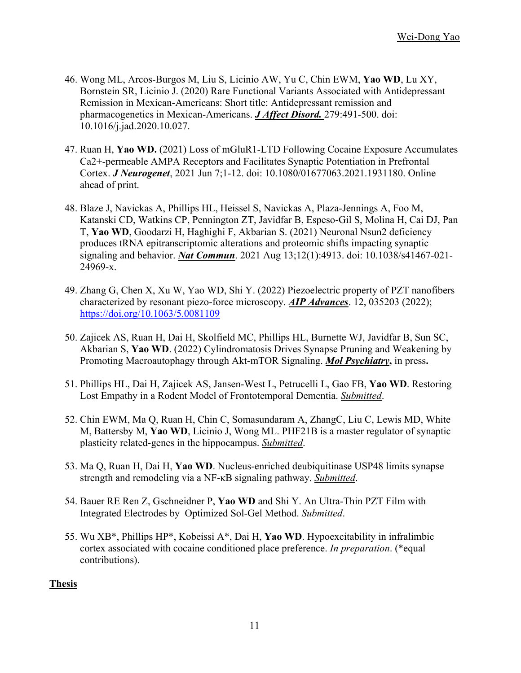- 46. Wong ML, Arcos-Burgos M, Liu S, Licinio AW, Yu C, Chin EWM, **Yao WD**, Lu XY, Bornstein SR, Licinio J. (2020) Rare Functional Variants Associated with Antidepressant Remission in Mexican-Americans: Short title: Antidepressant remission and pharmacogenetics in Mexican-Americans. *J Affect Disord.* 279:491-500. doi: 10.1016/j.jad.2020.10.027.
- 47. Ruan H, **Yao WD.** (2021) Loss of mGluR1-LTD Following Cocaine Exposure Accumulates Ca2+-permeable AMPA Receptors and Facilitates Synaptic Potentiation in Prefrontal Cortex. *J Neurogenet*, 2021 Jun 7;1-12. doi: 10.1080/01677063.2021.1931180. Online ahead of print.
- 48. Blaze J, Navickas A, Phillips HL, Heissel S, Navickas A, Plaza-Jennings A, Foo M, Katanski CD, Watkins CP, Pennington ZT, Javidfar B, Espeso-Gil S, Molina H, Cai DJ, Pan T, **Yao WD**, Goodarzi H, Haghighi F, Akbarian S. (2021) Neuronal Nsun2 deficiency produces tRNA epitranscriptomic alterations and proteomic shifts impacting synaptic signaling and behavior. *Nat Commun*. 2021 Aug 13;12(1):4913. doi: 10.1038/s41467-021- 24969-x.
- 49. Zhang G, Chen X, Xu W, Yao WD, Shi Y. (2022) Piezoelectric property of PZT nanofibers characterized by resonant piezo-force microscopy. *AIP Advances*. 12, 035203 (2022); https://doi.org/10.1063/5.0081109
- 50. Zajicek AS, Ruan H, Dai H, Skolfield MC, Phillips HL, Burnette WJ, Javidfar B, Sun SC, Akbarian S, **Yao WD**. (2022) Cylindromatosis Drives Synapse Pruning and Weakening by Promoting Macroautophagy through Akt-mTOR Signaling. *Mol Psychiatry***,** in press**.**
- 51. Phillips HL, Dai H, Zajicek AS, Jansen-West L, Petrucelli L, Gao FB, **Yao WD**. Restoring Lost Empathy in a Rodent Model of Frontotemporal Dementia. *Submitted*.
- 52. Chin EWM, Ma Q, Ruan H, Chin C, Somasundaram A, ZhangC, Liu C, Lewis MD, White M, Battersby M, **Yao WD**, Licinio J, Wong ML. PHF21B is a master regulator of synaptic plasticity related-genes in the hippocampus. *Submitted*.
- 53. Ma Q, Ruan H, Dai H, **Yao WD**. Nucleus-enriched deubiquitinase USP48 limits synapse strength and remodeling via a NF-κB signaling pathway. *Submitted*.
- 54. Bauer RE Ren Z, Gschneidner P, **Yao WD** and Shi Y. An Ultra-Thin PZT Film with Integrated Electrodes by Optimized Sol-Gel Method. *Submitted*.
- 55. Wu XB\*, Phillips HP\*, Kobeissi A\*, Dai H, **Yao WD**. Hypoexcitability in infralimbic cortex associated with cocaine conditioned place preference. *In preparation*. (\*equal contributions).

#### **Thesis**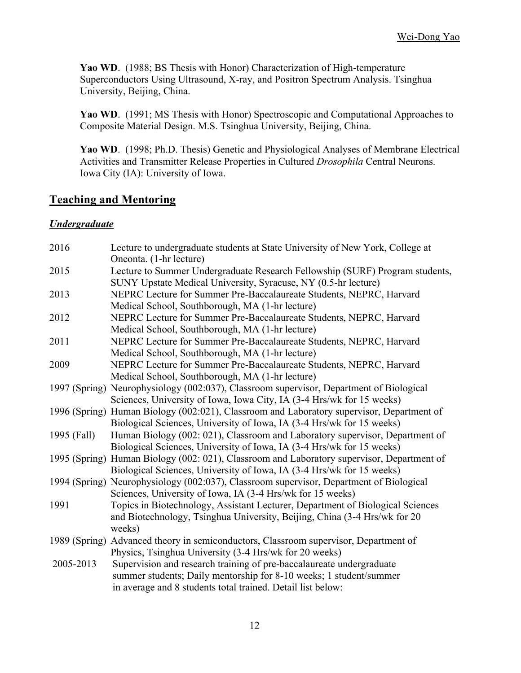**Yao WD**. (1988; BS Thesis with Honor) Characterization of High-temperature Superconductors Using Ultrasound, X-ray, and Positron Spectrum Analysis. Tsinghua University, Beijing, China.

**Yao WD**. (1991; MS Thesis with Honor) Spectroscopic and Computational Approaches to Composite Material Design. M.S. Tsinghua University, Beijing, China.

**Yao WD**. (1998; Ph.D. Thesis) Genetic and Physiological Analyses of Membrane Electrical Activities and Transmitter Release Properties in Cultured *Drosophila* Central Neurons. Iowa City (IA): University of Iowa.

# **Teaching and Mentoring**

#### *Undergraduate*

| 2016        | Lecture to undergraduate students at State University of New York, College at              |
|-------------|--------------------------------------------------------------------------------------------|
|             | Oneonta. (1-hr lecture)                                                                    |
| 2015        | Lecture to Summer Undergraduate Research Fellowship (SURF) Program students,               |
|             | SUNY Upstate Medical University, Syracuse, NY (0.5-hr lecture)                             |
| 2013        | NEPRC Lecture for Summer Pre-Baccalaureate Students, NEPRC, Harvard                        |
|             | Medical School, Southborough, MA (1-hr lecture)                                            |
| 2012        | NEPRC Lecture for Summer Pre-Baccalaureate Students, NEPRC, Harvard                        |
|             | Medical School, Southborough, MA (1-hr lecture)                                            |
| 2011        | NEPRC Lecture for Summer Pre-Baccalaureate Students, NEPRC, Harvard                        |
|             | Medical School, Southborough, MA (1-hr lecture)                                            |
| 2009        | NEPRC Lecture for Summer Pre-Baccalaureate Students, NEPRC, Harvard                        |
|             | Medical School, Southborough, MA (1-hr lecture)                                            |
|             | 1997 (Spring) Neurophysiology (002:037), Classroom supervisor, Department of Biological    |
|             | Sciences, University of Iowa, Iowa City, IA (3-4 Hrs/wk for 15 weeks)                      |
|             | 1996 (Spring) Human Biology (002:021), Classroom and Laboratory supervisor, Department of  |
|             | Biological Sciences, University of Iowa, IA (3-4 Hrs/wk for 15 weeks)                      |
| 1995 (Fall) | Human Biology (002: 021), Classroom and Laboratory supervisor, Department of               |
|             | Biological Sciences, University of Iowa, IA (3-4 Hrs/wk for 15 weeks)                      |
|             | 1995 (Spring) Human Biology (002: 021), Classroom and Laboratory supervisor, Department of |
|             | Biological Sciences, University of Iowa, IA (3-4 Hrs/wk for 15 weeks)                      |
|             | 1994 (Spring) Neurophysiology (002:037), Classroom supervisor, Department of Biological    |
|             | Sciences, University of Iowa, IA (3-4 Hrs/wk for 15 weeks)                                 |
| 1991        | Topics in Biotechnology, Assistant Lecturer, Department of Biological Sciences             |
|             | and Biotechnology, Tsinghua University, Beijing, China (3-4 Hrs/wk for 20                  |
|             | weeks)                                                                                     |
|             | 1989 (Spring) Advanced theory in semiconductors, Classroom supervisor, Department of       |
|             | Physics, Tsinghua University (3-4 Hrs/wk for 20 weeks)                                     |
| 2005-2013   | Supervision and research training of pre-baccalaureate undergraduate                       |
|             | summer students; Daily mentorship for 8-10 weeks; 1 student/summer                         |
|             | in average and 8 students total trained. Detail list below:                                |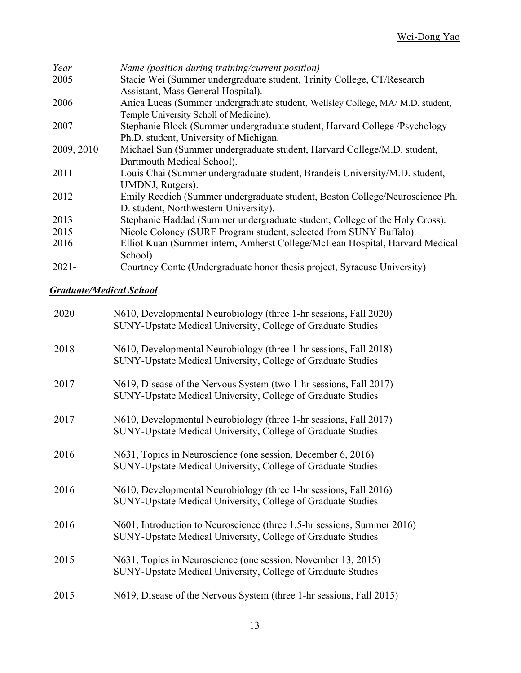| Name (position during training/current position)                               |
|--------------------------------------------------------------------------------|
| Stacie Wei (Summer undergraduate student, Trinity College, CT/Research         |
| Assistant, Mass General Hospital).                                             |
| Anica Lucas (Summer undergraduate student, Wellsley College, MA/ M.D. student, |
| Temple University Scholl of Medicine).                                         |
| Stephanie Block (Summer undergraduate student, Harvard College /Psychology     |
| Ph.D. student, University of Michigan.                                         |
| Michael Sun (Summer undergraduate student, Harvard College/M.D. student,       |
| Dartmouth Medical School).                                                     |
| Louis Chai (Summer undergraduate student, Brandeis University/M.D. student,    |
| UMDNJ, Rutgers).                                                               |
| Emily Reedich (Summer undergraduate student, Boston College/Neuroscience Ph.   |
| D. student, Northwestern University).                                          |
| Stephanie Haddad (Summer undergraduate student, College of the Holy Cross).    |
| Nicole Coloney (SURF Program student, selected from SUNY Buffalo).             |
| Elliot Kuan (Summer intern, Amherst College/McLean Hospital, Harvard Medical   |
| School)                                                                        |
| Courtney Conte (Undergraduate honor thesis project, Syracuse University)       |
|                                                                                |

#### *Graduate/Medical School*

| N610, Developmental Neurobiology (three 1-hr sessions, Fall 2020)<br>SUNY-Upstate Medical University, College of Graduate Studies       |
|-----------------------------------------------------------------------------------------------------------------------------------------|
| N610, Developmental Neurobiology (three 1-hr sessions, Fall 2018)<br>SUNY-Upstate Medical University, College of Graduate Studies       |
| N619, Disease of the Nervous System (two 1-hr sessions, Fall 2017)<br>SUNY-Upstate Medical University, College of Graduate Studies      |
| N610, Developmental Neurobiology (three 1-hr sessions, Fall 2017)<br>SUNY-Upstate Medical University, College of Graduate Studies       |
| N631, Topics in Neuroscience (one session, December 6, 2016)<br>SUNY-Upstate Medical University, College of Graduate Studies            |
| N610, Developmental Neurobiology (three 1-hr sessions, Fall 2016)<br>SUNY-Upstate Medical University, College of Graduate Studies       |
| N601, Introduction to Neuroscience (three 1.5-hr sessions, Summer 2016)<br>SUNY-Upstate Medical University, College of Graduate Studies |
| N631, Topics in Neuroscience (one session, November 13, 2015)<br>SUNY-Upstate Medical University, College of Graduate Studies           |
| N619, Disease of the Nervous System (three 1-hr sessions, Fall 2015)                                                                    |
|                                                                                                                                         |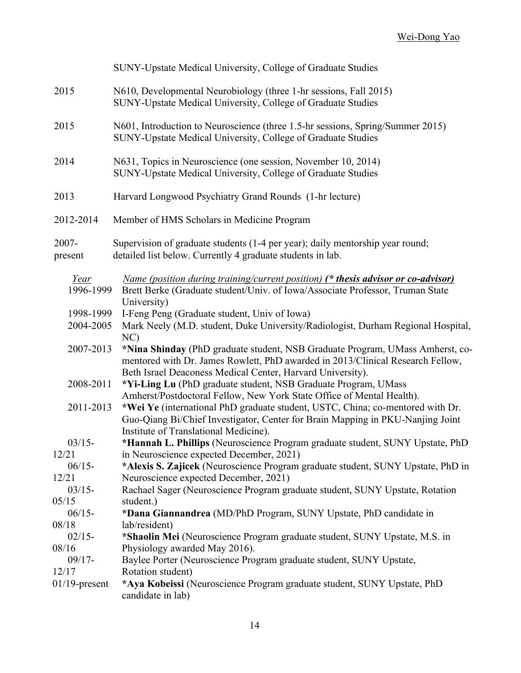|                        | SUNY-Upstate Medical University, College of Graduate Studies                                                                                                                                                                  |
|------------------------|-------------------------------------------------------------------------------------------------------------------------------------------------------------------------------------------------------------------------------|
| 2015                   | N610, Developmental Neurobiology (three 1-hr sessions, Fall 2015)<br>SUNY-Upstate Medical University, College of Graduate Studies                                                                                             |
| 2015                   | N601, Introduction to Neuroscience (three 1.5-hr sessions, Spring/Summer 2015)<br>SUNY-Upstate Medical University, College of Graduate Studies                                                                                |
| 2014                   | N631, Topics in Neuroscience (one session, November 10, 2014)<br>SUNY-Upstate Medical University, College of Graduate Studies                                                                                                 |
| 2013                   | Harvard Longwood Psychiatry Grand Rounds (1-hr lecture)                                                                                                                                                                       |
| 2012-2014              | Member of HMS Scholars in Medicine Program                                                                                                                                                                                    |
| $2007 -$<br>present    | Supervision of graduate students (1-4 per year); daily mentorship year round;<br>detailed list below. Currently 4 graduate students in lab.                                                                                   |
| Year<br>1996-1999      | <u>Name (position during training/current position)</u> (* thesis advisor or co-advisor)<br>Brett Berke (Graduate student/Univ. of Iowa/Associate Professor, Truman State<br>University)                                      |
| 1998-1999<br>2004-2005 | I-Feng Peng (Graduate student, Univ of Iowa)<br>Mark Neely (M.D. student, Duke University/Radiologist, Durham Regional Hospital,<br>NC)                                                                                       |
| 2007-2013              | *Nina Shinday (PhD graduate student, NSB Graduate Program, UMass Amherst, co-<br>mentored with Dr. James Rowlett, PhD awarded in 2013/Clinical Research Fellow,<br>Beth Israel Deaconess Medical Center, Harvard University). |
| 2008-2011              | *Yi-Ling Lu (PhD graduate student, NSB Graduate Program, UMass<br>Amherst/Postdoctoral Fellow, New York State Office of Mental Health).                                                                                       |
| 2011-2013              | *Wei Ye (international PhD graduate student, USTC, China; co-mentored with Dr.<br>Guo-Qiang Bi/Chief Investigator, Center for Brain Mapping in PKU-Nanjing Joint<br>Institute of Translational Medicine).                     |
| $03/15-$               | *Hannah L. Phillips (Neuroscience Program graduate student, SUNY Upstate, PhD                                                                                                                                                 |
| 12/21                  | in Neuroscience expected December, 2021)                                                                                                                                                                                      |
| $06/15-$               | *Alexis S. Zajicek (Neuroscience Program graduate student, SUNY Upstate, PhD in                                                                                                                                               |
| 12/21<br>$03/15-$      | Neuroscience expected December, 2021)<br>Rachael Sager (Neuroscience Program graduate student, SUNY Upstate, Rotation                                                                                                         |
| 05/15                  | student.)                                                                                                                                                                                                                     |
| $06/15 -$              | *Dana Giannandrea (MD/PhD Program, SUNY Upstate, PhD candidate in                                                                                                                                                             |
| 08/18                  | lab/resident)                                                                                                                                                                                                                 |
| $02/15-$               | *Shaolin Mei (Neuroscience Program graduate student, SUNY Upstate, M.S. in                                                                                                                                                    |
| 08/16                  | Physiology awarded May 2016).                                                                                                                                                                                                 |
| $09/17 -$              | Baylee Porter (Neuroscience Program graduate student, SUNY Upstate,                                                                                                                                                           |
| 12/17                  | Rotation student)                                                                                                                                                                                                             |
| $01/19$ -present       | *Aya Kobeissi (Neuroscience Program graduate student, SUNY Upstate, PhD<br>candidate in lab)                                                                                                                                  |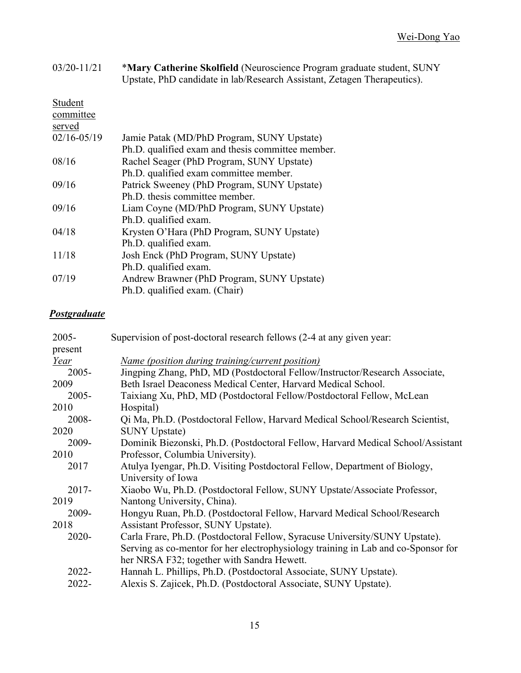| $03/20 - 11/21$ | *Mary Catherine Skolfield (Neuroscience Program graduate student, SUNY<br>Upstate, PhD candidate in lab/Research Assistant, Zetagen Therapeutics). |
|-----------------|----------------------------------------------------------------------------------------------------------------------------------------------------|
| Student         |                                                                                                                                                    |
| committee       |                                                                                                                                                    |
| served          |                                                                                                                                                    |
| $02/16 - 05/19$ | Jamie Patak (MD/PhD Program, SUNY Upstate)                                                                                                         |
|                 | Ph.D. qualified exam and thesis committee member.                                                                                                  |
| 08/16           | Rachel Seager (PhD Program, SUNY Upstate)                                                                                                          |
|                 | Ph.D. qualified exam committee member.                                                                                                             |
| 09/16           | Patrick Sweeney (PhD Program, SUNY Upstate)                                                                                                        |
|                 | Ph.D. thesis committee member.                                                                                                                     |
| 09/16           | Liam Coyne (MD/PhD Program, SUNY Upstate)                                                                                                          |
|                 | Ph.D. qualified exam.                                                                                                                              |
| 04/18           | Krysten O'Hara (PhD Program, SUNY Upstate)                                                                                                         |
|                 | Ph.D. qualified exam.                                                                                                                              |
| 11/18           | Josh Enck (PhD Program, SUNY Upstate)                                                                                                              |
|                 | Ph.D. qualified exam.                                                                                                                              |
| 07/19           | Andrew Brawner (PhD Program, SUNY Upstate)                                                                                                         |
|                 | Ph.D. qualified exam. (Chair)                                                                                                                      |
|                 |                                                                                                                                                    |

# *Postgraduate*

| $2005 -$ | Supervision of post-doctoral research fellows (2-4 at any given year:             |
|----------|-----------------------------------------------------------------------------------|
| present  |                                                                                   |
| Year     | <u>Name (position during training/current position)</u>                           |
| $2005 -$ | Jingping Zhang, PhD, MD (Postdoctoral Fellow/Instructor/Research Associate,       |
| 2009     | Beth Israel Deaconess Medical Center, Harvard Medical School.                     |
| $2005 -$ | Taixiang Xu, PhD, MD (Postdoctoral Fellow/Postdoctoral Fellow, McLean             |
| 2010     | Hospital)                                                                         |
| 2008-    | Qi Ma, Ph.D. (Postdoctoral Fellow, Harvard Medical School/Research Scientist,     |
| 2020     | <b>SUNY Upstate)</b>                                                              |
| 2009-    | Dominik Biezonski, Ph.D. (Postdoctoral Fellow, Harvard Medical School/Assistant   |
| 2010     | Professor, Columbia University).                                                  |
| 2017     | Atulya Iyengar, Ph.D. Visiting Postdoctoral Fellow, Department of Biology,        |
|          | University of Iowa                                                                |
| $2017 -$ | Xiaobo Wu, Ph.D. (Postdoctoral Fellow, SUNY Upstate/Associate Professor,          |
| 2019     | Nantong University, China).                                                       |
| 2009-    | Hongyu Ruan, Ph.D. (Postdoctoral Fellow, Harvard Medical School/Research          |
| 2018     | Assistant Professor, SUNY Upstate).                                               |
| $2020 -$ | Carla Frare, Ph.D. (Postdoctoral Fellow, Syracuse University/SUNY Upstate).       |
|          | Serving as co-mentor for her electrophysiology training in Lab and co-Sponsor for |
|          | her NRSA F32; together with Sandra Hewett.                                        |
| $2022 -$ | Hannah L. Phillips, Ph.D. (Postdoctoral Associate, SUNY Upstate).                 |
| 2022-    | Alexis S. Zajicek, Ph.D. (Postdoctoral Associate, SUNY Upstate).                  |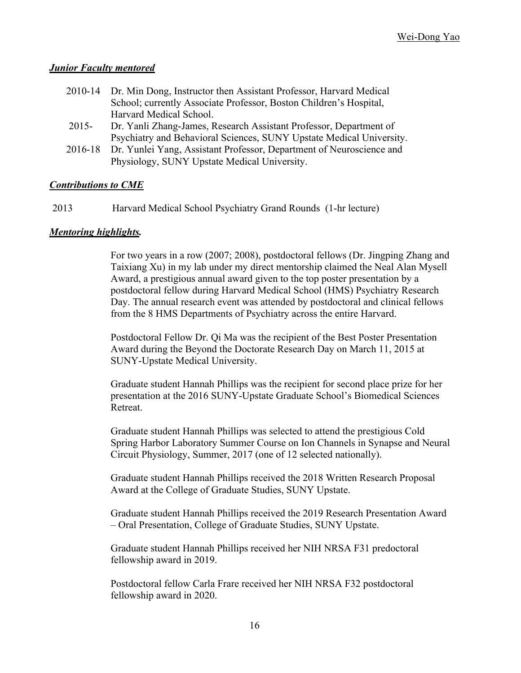#### *Junior Faculty mentored*

| 2010-14 Dr. Min Dong, Instructor then Assistant Professor, Harvard Medical |
|----------------------------------------------------------------------------|
| School; currently Associate Professor, Boston Children's Hospital,         |
| Harvard Medical School.                                                    |

- 2015- Dr. Yanli Zhang-James, Research Assistant Professor, Department of Psychiatry and Behavioral Sciences, SUNY Upstate Medical University.
- 2016-18 Dr. Yunlei Yang, Assistant Professor, Department of Neuroscience and Physiology, SUNY Upstate Medical University.

#### *Contributions to CME*

2013 Harvard Medical School Psychiatry Grand Rounds (1-hr lecture)

#### *Mentoring highlights.*

For two years in a row (2007; 2008), postdoctoral fellows (Dr. Jingping Zhang and Taixiang Xu) in my lab under my direct mentorship claimed the Neal Alan Mysell Award, a prestigious annual award given to the top poster presentation by a postdoctoral fellow during Harvard Medical School (HMS) Psychiatry Research Day. The annual research event was attended by postdoctoral and clinical fellows from the 8 HMS Departments of Psychiatry across the entire Harvard.

Postdoctoral Fellow Dr. Qi Ma was the recipient of the Best Poster Presentation Award during the Beyond the Doctorate Research Day on March 11, 2015 at SUNY-Upstate Medical University.

Graduate student Hannah Phillips was the recipient for second place prize for her presentation at the 2016 SUNY-Upstate Graduate School's Biomedical Sciences Retreat.

Graduate student Hannah Phillips was selected to attend the prestigious Cold Spring Harbor Laboratory Summer Course on Ion Channels in Synapse and Neural Circuit Physiology, Summer, 2017 (one of 12 selected nationally).

Graduate student Hannah Phillips received the 2018 Written Research Proposal Award at the College of Graduate Studies, SUNY Upstate.

Graduate student Hannah Phillips received the 2019 Research Presentation Award – Oral Presentation, College of Graduate Studies, SUNY Upstate.

Graduate student Hannah Phillips received her NIH NRSA F31 predoctoral fellowship award in 2019.

Postdoctoral fellow Carla Frare received her NIH NRSA F32 postdoctoral fellowship award in 2020.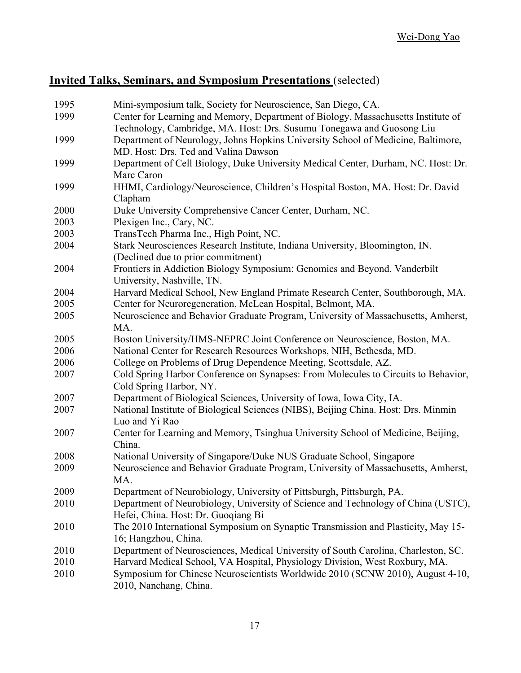# **Invited Talks, Seminars, and Symposium Presentations** (selected)

| 1995 | Mini-symposium talk, Society for Neuroscience, San Diego, CA.                      |
|------|------------------------------------------------------------------------------------|
| 1999 | Center for Learning and Memory, Department of Biology, Massachusetts Institute of  |
|      | Technology, Cambridge, MA. Host: Drs. Susumu Tonegawa and Guosong Liu              |
| 1999 | Department of Neurology, Johns Hopkins University School of Medicine, Baltimore,   |
|      | MD. Host: Drs. Ted and Valina Dawson                                               |
| 1999 | Department of Cell Biology, Duke University Medical Center, Durham, NC. Host: Dr.  |
|      | Marc Caron                                                                         |
| 1999 | HHMI, Cardiology/Neuroscience, Children's Hospital Boston, MA. Host: Dr. David     |
|      | Clapham                                                                            |
| 2000 | Duke University Comprehensive Cancer Center, Durham, NC.                           |
| 2003 | Plexigen Inc., Cary, NC.                                                           |
| 2003 | TransTech Pharma Inc., High Point, NC.                                             |
| 2004 | Stark Neurosciences Research Institute, Indiana University, Bloomington, IN.       |
|      | (Declined due to prior commitment)                                                 |
| 2004 | Frontiers in Addiction Biology Symposium: Genomics and Beyond, Vanderbilt          |
|      | University, Nashville, TN.                                                         |
| 2004 | Harvard Medical School, New England Primate Research Center, Southborough, MA.     |
| 2005 | Center for Neuroregeneration, McLean Hospital, Belmont, MA.                        |
| 2005 | Neuroscience and Behavior Graduate Program, University of Massachusetts, Amherst,  |
|      | MA.                                                                                |
| 2005 | Boston University/HMS-NEPRC Joint Conference on Neuroscience, Boston, MA.          |
| 2006 | National Center for Research Resources Workshops, NIH, Bethesda, MD.               |
| 2006 | College on Problems of Drug Dependence Meeting, Scottsdale, AZ.                    |
| 2007 | Cold Spring Harbor Conference on Synapses: From Molecules to Circuits to Behavior, |
|      | Cold Spring Harbor, NY.                                                            |
| 2007 | Department of Biological Sciences, University of Iowa, Iowa City, IA.              |
| 2007 | National Institute of Biological Sciences (NIBS), Beijing China. Host: Drs. Minmin |
|      | Luo and Yi Rao                                                                     |
| 2007 | Center for Learning and Memory, Tsinghua University School of Medicine, Beijing,   |
|      | China.                                                                             |
| 2008 | National University of Singapore/Duke NUS Graduate School, Singapore               |
| 2009 | Neuroscience and Behavior Graduate Program, University of Massachusetts, Amherst,  |
|      | MA.                                                                                |
| 2009 | Department of Neurobiology, University of Pittsburgh, Pittsburgh, PA.              |
| 2010 | Department of Neurobiology, University of Science and Technology of China (USTC),  |
|      | Hefei, China. Host: Dr. Guoqiang Bi                                                |
| 2010 | The 2010 International Symposium on Synaptic Transmission and Plasticity, May 15-  |
|      | 16; Hangzhou, China.                                                               |
| 2010 | Department of Neurosciences, Medical University of South Carolina, Charleston, SC. |
| 2010 | Harvard Medical School, VA Hospital, Physiology Division, West Roxbury, MA.        |
| 2010 | Symposium for Chinese Neuroscientists Worldwide 2010 (SCNW 2010), August 4-10,     |
|      | 2010, Nanchang, China.                                                             |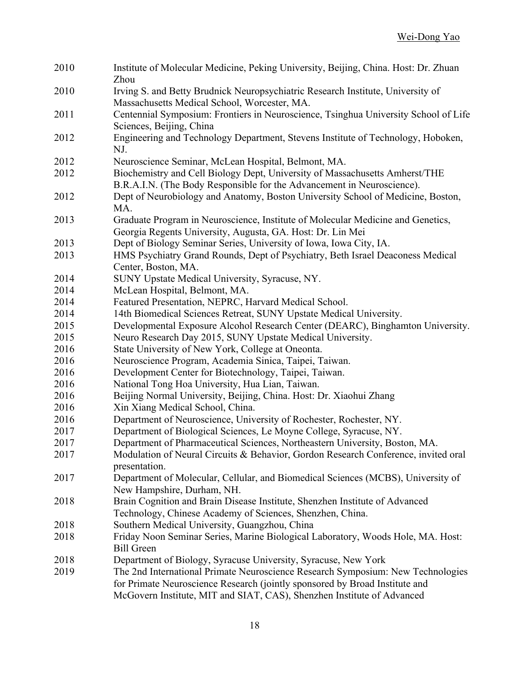| 2010 | Institute of Molecular Medicine, Peking University, Beijing, China. Host: Dr. Zhuan<br>Zhou                                     |
|------|---------------------------------------------------------------------------------------------------------------------------------|
| 2010 | Irving S. and Betty Brudnick Neuropsychiatric Research Institute, University of<br>Massachusetts Medical School, Worcester, MA. |
| 2011 | Centennial Symposium: Frontiers in Neuroscience, Tsinghua University School of Life<br>Sciences, Beijing, China                 |
| 2012 | Engineering and Technology Department, Stevens Institute of Technology, Hoboken,<br>NJ.                                         |
| 2012 | Neuroscience Seminar, McLean Hospital, Belmont, MA.                                                                             |
| 2012 | Biochemistry and Cell Biology Dept, University of Massachusetts Amherst/THE                                                     |
|      | B.R.A.I.N. (The Body Responsible for the Advancement in Neuroscience).                                                          |
| 2012 | Dept of Neurobiology and Anatomy, Boston University School of Medicine, Boston,                                                 |
|      | MA.                                                                                                                             |
| 2013 | Graduate Program in Neuroscience, Institute of Molecular Medicine and Genetics,                                                 |
|      | Georgia Regents University, Augusta, GA. Host: Dr. Lin Mei                                                                      |
| 2013 | Dept of Biology Seminar Series, University of Iowa, Iowa City, IA.                                                              |
| 2013 | HMS Psychiatry Grand Rounds, Dept of Psychiatry, Beth Israel Deaconess Medical                                                  |
|      | Center, Boston, MA.                                                                                                             |
| 2014 | SUNY Upstate Medical University, Syracuse, NY.                                                                                  |
| 2014 | McLean Hospital, Belmont, MA.                                                                                                   |
| 2014 | Featured Presentation, NEPRC, Harvard Medical School.                                                                           |
| 2014 | 14th Biomedical Sciences Retreat, SUNY Upstate Medical University.                                                              |
| 2015 | Developmental Exposure Alcohol Research Center (DEARC), Binghamton University.                                                  |
| 2015 | Neuro Research Day 2015, SUNY Upstate Medical University.                                                                       |
| 2016 | State University of New York, College at Oneonta.                                                                               |
| 2016 | Neuroscience Program, Academia Sinica, Taipei, Taiwan.                                                                          |
| 2016 | Development Center for Biotechnology, Taipei, Taiwan.                                                                           |
| 2016 | National Tong Hoa University, Hua Lian, Taiwan.                                                                                 |
| 2016 | Beijing Normal University, Beijing, China. Host: Dr. Xiaohui Zhang                                                              |
| 2016 | Xin Xiang Medical School, China.                                                                                                |
| 2016 | Department of Neuroscience, University of Rochester, Rochester, NY.                                                             |
| 2017 | Department of Biological Sciences, Le Moyne College, Syracuse, NY.                                                              |
| 2017 | Department of Pharmaceutical Sciences, Northeastern University, Boston, MA.                                                     |
| 2017 | Modulation of Neural Circuits & Behavior, Gordon Research Conference, invited oral                                              |
|      | presentation.                                                                                                                   |
| 2017 | Department of Molecular, Cellular, and Biomedical Sciences (MCBS), University of                                                |
|      | New Hampshire, Durham, NH.                                                                                                      |
| 2018 | Brain Cognition and Brain Disease Institute, Shenzhen Institute of Advanced                                                     |
|      | Technology, Chinese Academy of Sciences, Shenzhen, China.                                                                       |
| 2018 | Southern Medical University, Guangzhou, China                                                                                   |
| 2018 | Friday Noon Seminar Series, Marine Biological Laboratory, Woods Hole, MA. Host:                                                 |
|      | <b>Bill Green</b>                                                                                                               |
| 2018 | Department of Biology, Syracuse University, Syracuse, New York                                                                  |
| 2019 | The 2nd International Primate Neuroscience Research Symposium: New Technologies                                                 |
|      | for Primate Neuroscience Research (jointly sponsored by Broad Institute and                                                     |
|      | McGovern Institute, MIT and SIAT, CAS), Shenzhen Institute of Advanced                                                          |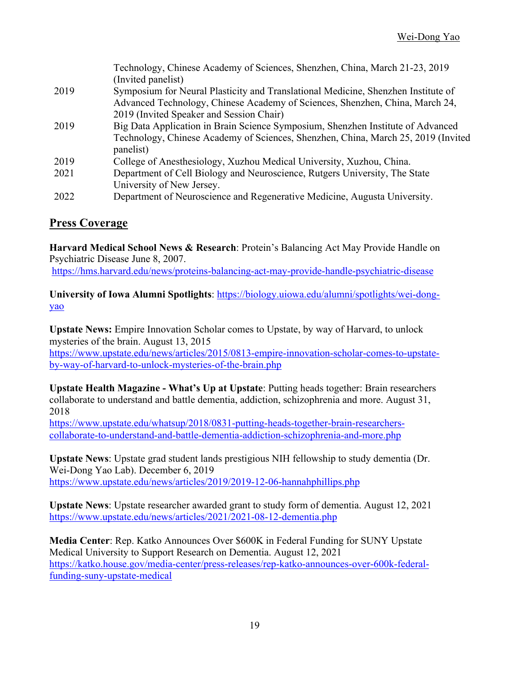|      | Technology, Chinese Academy of Sciences, Shenzhen, China, March 21-23, 2019       |
|------|-----------------------------------------------------------------------------------|
|      | (Invited panelist)                                                                |
| 2019 | Symposium for Neural Plasticity and Translational Medicine, Shenzhen Institute of |
|      | Advanced Technology, Chinese Academy of Sciences, Shenzhen, China, March 24,      |
|      | 2019 (Invited Speaker and Session Chair)                                          |
| 2019 | Big Data Application in Brain Science Symposium, Shenzhen Institute of Advanced   |
|      | Technology, Chinese Academy of Sciences, Shenzhen, China, March 25, 2019 (Invited |
|      | panelist)                                                                         |
| 2019 | College of Anesthesiology, Xuzhou Medical University, Xuzhou, China.              |
| 2021 | Department of Cell Biology and Neuroscience, Rutgers University, The State        |
|      | University of New Jersey.                                                         |
| 2022 | Department of Neuroscience and Regenerative Medicine, Augusta University.         |

# **Press Coverage**

**Harvard Medical School News & Research**: Protein's Balancing Act May Provide Handle on Psychiatric Disease June 8, 2007.

https://hms.harvard.edu/news/proteins-balancing-act-may-provide-handle-psychiatric-disease

**University of Iowa Alumni Spotlights**: https://biology.uiowa.edu/alumni/spotlights/wei-dongyao

**Upstate News:** Empire Innovation Scholar comes to Upstate, by way of Harvard, to unlock mysteries of the brain. August 13, 2015 https://www.upstate.edu/news/articles/2015/0813-empire-innovation-scholar-comes-to-upstate-

by-way-of-harvard-to-unlock-mysteries-of-the-brain.php

**Upstate Health Magazine - What's Up at Upstate**: Putting heads together: Brain researchers collaborate to understand and battle dementia, addiction, schizophrenia and more. August 31, 2018

https://www.upstate.edu/whatsup/2018/0831-putting-heads-together-brain-researcherscollaborate-to-understand-and-battle-dementia-addiction-schizophrenia-and-more.php

**Upstate News**: Upstate grad student lands prestigious NIH fellowship to study dementia (Dr. Wei-Dong Yao Lab). December 6, 2019 https://www.upstate.edu/news/articles/2019/2019-12-06-hannahphillips.php

**Upstate News**: Upstate researcher awarded grant to study form of dementia. August 12, 2021 https://www.upstate.edu/news/articles/2021/2021-08-12-dementia.php

**Media Center**: Rep. Katko Announces Over \$600K in Federal Funding for SUNY Upstate Medical University to Support Research on Dementia. August 12, 2021 https://katko.house.gov/media-center/press-releases/rep-katko-announces-over-600k-federalfunding-suny-upstate-medical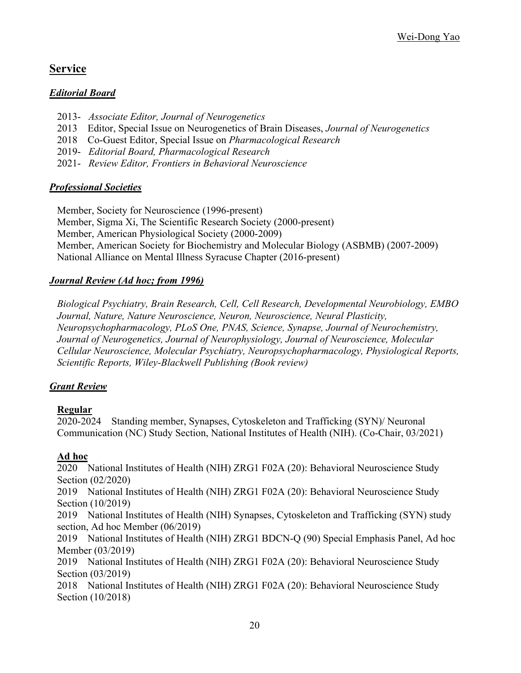# **Service**

### *Editorial Board*

- 2013- *Associate Editor, Journal of Neurogenetics*
- 2013 Editor, Special Issue on Neurogenetics of Brain Diseases, *Journal of Neurogenetics*
- 2018 Co-Guest Editor, Special Issue on *Pharmacological Research*
- 2019- *Editorial Board, Pharmacological Research*
- 2021- *Review Editor, Frontiers in Behavioral Neuroscience*

## *Professional Societies*

Member, Society for Neuroscience (1996-present) Member, Sigma Xi, The Scientific Research Society (2000-present) Member, American Physiological Society (2000-2009) Member, American Society for Biochemistry and Molecular Biology (ASBMB) (2007-2009) National Alliance on Mental Illness Syracuse Chapter (2016-present)

# *Journal Review (Ad hoc; from 1996)*

*Biological Psychiatry, Brain Research, Cell, Cell Research, Developmental Neurobiology, EMBO Journal, Nature, Nature Neuroscience, Neuron, Neuroscience, Neural Plasticity, Neuropsychopharmacology, PLoS One, PNAS, Science, Synapse, Journal of Neurochemistry, Journal of Neurogenetics, Journal of Neurophysiology, Journal of Neuroscience, Molecular Cellular Neuroscience, Molecular Psychiatry, Neuropsychopharmacology, Physiological Reports, Scientific Reports, Wiley-Blackwell Publishing (Book review)*

# *Grant Review*

# **Regular**

2020-2024 Standing member, Synapses, Cytoskeleton and Trafficking (SYN)/ Neuronal Communication (NC) Study Section, National Institutes of Health (NIH). (Co-Chair, 03/2021)

#### **Ad hoc**

2020 National Institutes of Health (NIH) ZRG1 F02A (20): Behavioral Neuroscience Study Section (02/2020)

2019 National Institutes of Health (NIH) ZRG1 F02A (20): Behavioral Neuroscience Study Section (10/2019)

2019 National Institutes of Health (NIH) Synapses, Cytoskeleton and Trafficking (SYN) study section, Ad hoc Member (06/2019)

2019 National Institutes of Health (NIH) ZRG1 BDCN-Q (90) Special Emphasis Panel, Ad hoc Member (03/2019)

2019 National Institutes of Health (NIH) ZRG1 F02A (20): Behavioral Neuroscience Study Section (03/2019)

2018 National Institutes of Health (NIH) ZRG1 F02A (20): Behavioral Neuroscience Study Section (10/2018)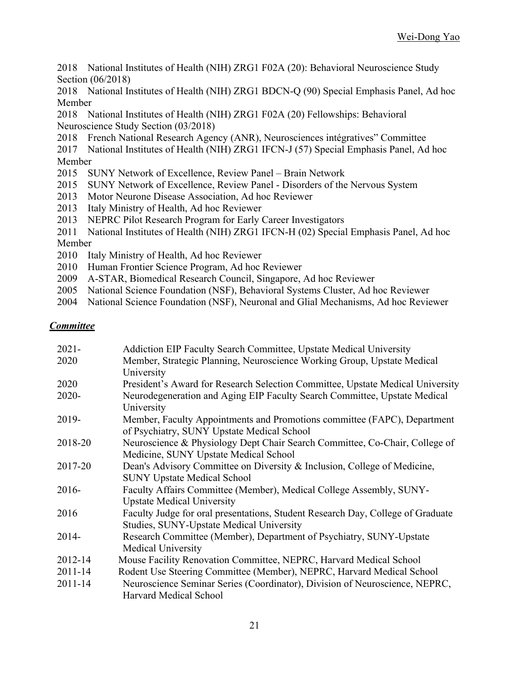- 2018 National Institutes of Health (NIH) ZRG1 F02A (20): Behavioral Neuroscience Study Section (06/2018)
- 2018 National Institutes of Health (NIH) ZRG1 BDCN-Q (90) Special Emphasis Panel, Ad hoc Member
- 2018 National Institutes of Health (NIH) ZRG1 F02A (20) Fellowships: Behavioral Neuroscience Study Section (03/2018)
- 2018 French National Research Agency (ANR), Neurosciences intégratives" Committee
- 2017 National Institutes of Health (NIH) ZRG1 IFCN-J (57) Special Emphasis Panel, Ad hoc Member
- 2015 SUNY Network of Excellence, Review Panel Brain Network
- 2015 SUNY Network of Excellence, Review Panel Disorders of the Nervous System
- 2013 Motor Neurone Disease Association, Ad hoc Reviewer
- 2013 Italy Ministry of Health, Ad hoc Reviewer
- 2013 NEPRC Pilot Research Program for Early Career Investigators
- 2011 National Institutes of Health (NIH) ZRG1 IFCN-H (02) Special Emphasis Panel, Ad hoc Member
- 2010 Italy Ministry of Health, Ad hoc Reviewer
- 2010 Human Frontier Science Program, Ad hoc Reviewer
- 2009 A-STAR, Biomedical Research Council, Singapore, Ad hoc Reviewer
- 2005 National Science Foundation (NSF), Behavioral Systems Cluster, Ad hoc Reviewer
- 2004 National Science Foundation (NSF), Neuronal and Glial Mechanisms, Ad hoc Reviewer

# *Committee*

| $2021 -$    | Addiction EIP Faculty Search Committee, Upstate Medical University              |
|-------------|---------------------------------------------------------------------------------|
| 2020        | Member, Strategic Planning, Neuroscience Working Group, Upstate Medical         |
|             | University                                                                      |
| 2020        | President's Award for Research Selection Committee, Upstate Medical University  |
| $2020 -$    | Neurodegeneration and Aging EIP Faculty Search Committee, Upstate Medical       |
|             | University                                                                      |
| 2019-       | Member, Faculty Appointments and Promotions committee (FAPC), Department        |
|             | of Psychiatry, SUNY Upstate Medical School                                      |
| 2018-20     | Neuroscience & Physiology Dept Chair Search Committee, Co-Chair, College of     |
|             | Medicine, SUNY Upstate Medical School                                           |
| 2017-20     | Dean's Advisory Committee on Diversity & Inclusion, College of Medicine,        |
|             | <b>SUNY Upstate Medical School</b>                                              |
| $2016-$     | Faculty Affairs Committee (Member), Medical College Assembly, SUNY-             |
|             | <b>Upstate Medical University</b>                                               |
| 2016        | Faculty Judge for oral presentations, Student Research Day, College of Graduate |
|             | Studies, SUNY-Upstate Medical University                                        |
| $2014 -$    | Research Committee (Member), Department of Psychiatry, SUNY-Upstate             |
|             | <b>Medical University</b>                                                       |
| 2012-14     | Mouse Facility Renovation Committee, NEPRC, Harvard Medical School              |
| $2011 - 14$ | Rodent Use Steering Committee (Member), NEPRC, Harvard Medical School           |
| $2011 - 14$ | Neuroscience Seminar Series (Coordinator), Division of Neuroscience, NEPRC,     |
|             | <b>Harvard Medical School</b>                                                   |
|             |                                                                                 |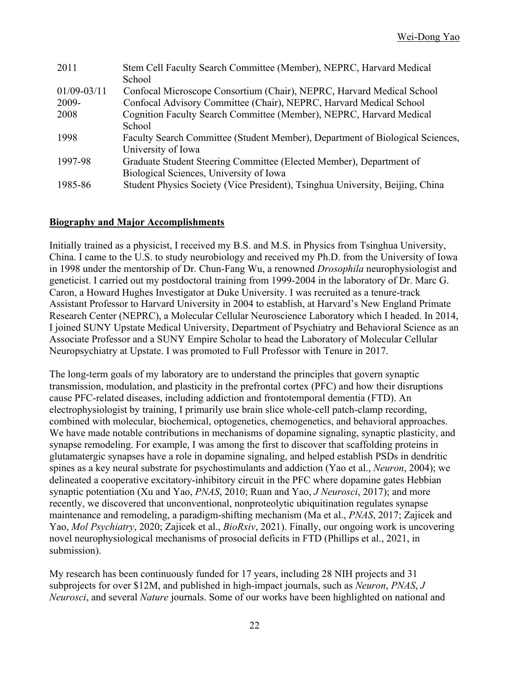| Stem Cell Faculty Search Committee (Member), NEPRC, Harvard Medical           |
|-------------------------------------------------------------------------------|
| School                                                                        |
| Confocal Microscope Consortium (Chair), NEPRC, Harvard Medical School         |
| Confocal Advisory Committee (Chair), NEPRC, Harvard Medical School            |
| Cognition Faculty Search Committee (Member), NEPRC, Harvard Medical           |
| School                                                                        |
| Faculty Search Committee (Student Member), Department of Biological Sciences, |
| University of Iowa                                                            |
| Graduate Student Steering Committee (Elected Member), Department of           |
| Biological Sciences, University of Iowa                                       |
| Student Physics Society (Vice President), Tsinghua University, Beijing, China |
|                                                                               |

#### **Biography and Major Accomplishments**

Initially trained as a physicist, I received my B.S. and M.S. in Physics from Tsinghua University, China. I came to the U.S. to study neurobiology and received my Ph.D. from the University of Iowa in 1998 under the mentorship of Dr. Chun-Fang Wu, a renowned *Drosophila* neurophysiologist and geneticist. I carried out my postdoctoral training from 1999-2004 in the laboratory of Dr. Marc G. Caron, a Howard Hughes Investigator at Duke University. I was recruited as a tenure-track Assistant Professor to Harvard University in 2004 to establish, at Harvard's New England Primate Research Center (NEPRC), a Molecular Cellular Neuroscience Laboratory which I headed. In 2014, I joined SUNY Upstate Medical University, Department of Psychiatry and Behavioral Science as an Associate Professor and a SUNY Empire Scholar to head the Laboratory of Molecular Cellular Neuropsychiatry at Upstate. I was promoted to Full Professor with Tenure in 2017.

The long-term goals of my laboratory are to understand the principles that govern synaptic transmission, modulation, and plasticity in the prefrontal cortex (PFC) and how their disruptions cause PFC-related diseases, including addiction and frontotemporal dementia (FTD). An electrophysiologist by training, I primarily use brain slice whole-cell patch-clamp recording, combined with molecular, biochemical, optogenetics, chemogenetics, and behavioral approaches. We have made notable contributions in mechanisms of dopamine signaling, synaptic plasticity, and synapse remodeling. For example, I was among the first to discover that scaffolding proteins in glutamatergic synapses have a role in dopamine signaling, and helped establish PSDs in dendritic spines as a key neural substrate for psychostimulants and addiction (Yao et al., *Neuron*, 2004); we delineated a cooperative excitatory-inhibitory circuit in the PFC where dopamine gates Hebbian synaptic potentiation (Xu and Yao, *PNAS*, 2010; Ruan and Yao, *J Neurosci*, 2017); and more recently, we discovered that unconventional, nonproteolytic ubiquitination regulates synapse maintenance and remodeling, a paradigm-shifting mechanism (Ma et al., *PNAS*, 2017; Zajicek and Yao, *Mol Psychiatry*, 2020; Zajicek et al., *BioRxiv*, 2021). Finally, our ongoing work is uncovering novel neurophysiological mechanisms of prosocial deficits in FTD (Phillips et al., 2021, in submission).

My research has been continuously funded for 17 years, including 28 NIH projects and 31 subprojects for over \$12M, and published in high-impact journals, such as *Neuron*, *PNAS*, *J Neurosci*, and several *Nature* journals. Some of our works have been highlighted on national and